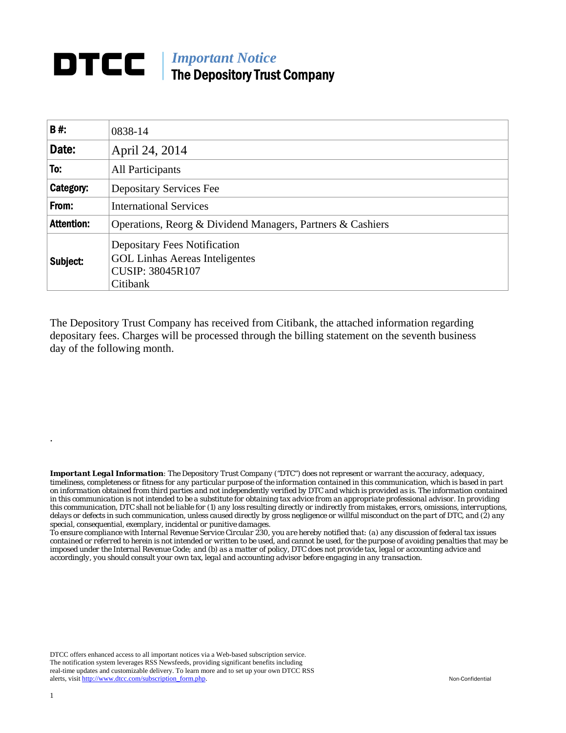## **DTCC** | *Important Notice* The Depository Trust Company

| B#:               | 0838-14                                                                                                             |  |  |  |  |
|-------------------|---------------------------------------------------------------------------------------------------------------------|--|--|--|--|
| Date:             | April 24, 2014                                                                                                      |  |  |  |  |
| To:               | All Participants                                                                                                    |  |  |  |  |
| Category:         | <b>Depositary Services Fee</b>                                                                                      |  |  |  |  |
| From:             | <b>International Services</b>                                                                                       |  |  |  |  |
| <b>Attention:</b> | Operations, Reorg & Dividend Managers, Partners & Cashiers                                                          |  |  |  |  |
| Subject:          | <b>Depositary Fees Notification</b><br><b>GOL Linhas Aereas Inteligentes</b><br><b>CUSIP: 38045R107</b><br>Citibank |  |  |  |  |

The Depository Trust Company has received from Citibank, the attached information regarding depositary fees. Charges will be processed through the billing statement on the seventh business day of the following month.

*Important Legal Information: The Depository Trust Company ("DTC") does not represent or warrant the accuracy, adequacy, timeliness, completeness or fitness for any particular purpose of the information contained in this communication, which is based in part on information obtained from third parties and not independently verified by DTC and which is provided as is. The information contained in this communication is not intended to be a substitute for obtaining tax advice from an appropriate professional advisor. In providing this communication, DTC shall not be liable for (1) any loss resulting directly or indirectly from mistakes, errors, omissions, interruptions, delays or defects in such communication, unless caused directly by gross negligence or willful misconduct on the part of DTC, and (2) any special, consequential, exemplary, incidental or punitive damages.* 

*To ensure compliance with Internal Revenue Service Circular 230, you are hereby notified that: (a) any discussion of federal tax issues contained or referred to herein is not intended or written to be used, and cannot be used, for the purpose of avoiding penalties that may be imposed under the Internal Revenue Code; and (b) as a matter of policy, DTC does not provide tax, legal or accounting advice and accordingly, you should consult your own tax, legal and accounting advisor before engaging in any transaction.*

DTCC offers enhanced access to all important notices via a Web-based subscription service. The notification system leverages RSS Newsfeeds, providing significant benefits including real-time updates and customizable delivery. To learn more and to set up your own DTCC RSS alerts, visit http://www.dtcc.com/subscription\_form.php. Non-Confidential

.